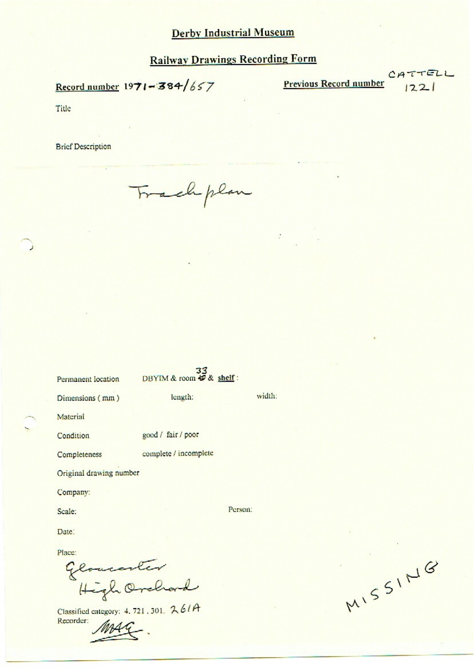Record number  $1971 - 384/657$ 

**Previous Record number** 

CATTELL  $1221$ 

Title

**Brief Description** 

Frachplan

| Permanent location                   | 33<br>DBYIM & room & & shelf: |         |        |
|--------------------------------------|-------------------------------|---------|--------|
| Dimensions (mm)                      | length:                       |         | width: |
| Material                             |                               |         |        |
| Condition                            | good / fair / poor            |         |        |
| Completeness                         | complete / incomplete         |         |        |
| Original drawing number              |                               |         |        |
| Company:                             |                               |         |        |
| Scale:                               |                               | Person: |        |
| Date:                                |                               |         |        |
| Place:<br>Gloucenter<br>High Orchard |                               |         |        |

Classified category: 4, 721, 301, 261A Recorder:

MISSING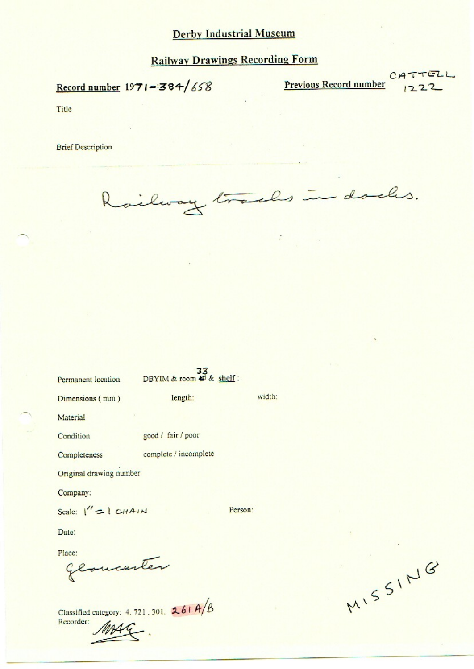Record number  $1971 - 384/658$ 

**Previous Record number** 

CATTELL  $1222$ 

Title

**Brief Description** 

Railway tracks in dades.

| Permanent location      | DBYIM & room $\overline{\ast}$ & shelf: |         |        |
|-------------------------|-----------------------------------------|---------|--------|
| Dimensions (mm)         | length:                                 |         | width: |
| Material                |                                         |         |        |
| Condition               | good / fair / poor                      |         |        |
| Completeness            | complete / incomplete                   |         |        |
| Original drawing number |                                         |         |        |
| Company:                |                                         |         |        |
| Scale: $1'' = 1 CHAIN$  |                                         | Person: |        |
| Date:                   |                                         |         |        |
| Place:<br>Gloucenter    |                                         |         |        |

Classified category: 4, 721, 301.  $261A/B$ Recorder:

MISSING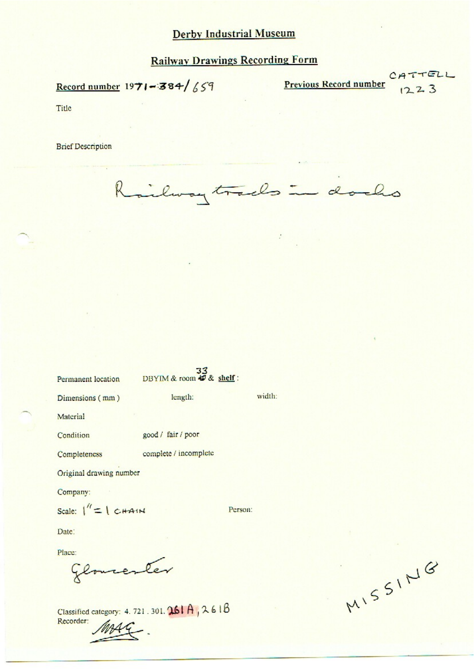# **Railway Drawings Recording Form**

Record number  $1971 - 384 / 659$ 

Previous Record number

CATTELL  $1223$ 

Title

**Brief Description** 

R ilway tracks in docks

| Permanent location                                        | 33<br>DBYIM & room # & shelf: |         |        |
|-----------------------------------------------------------|-------------------------------|---------|--------|
| Dimensions (mm)                                           | length:                       |         | width: |
| Material                                                  |                               |         |        |
| Condition                                                 | good / fair / poor            |         |        |
| Completeness                                              | complete / incomplete         |         |        |
| Original drawing number                                   |                               |         |        |
| Company:                                                  |                               |         |        |
| Scale: $\ $ = $\ $ $\subset$ $\ $ $\sim$ $\ $ $\sim$ $\ $ |                               | Person: |        |
| Date:                                                     |                               |         |        |
| Place:                                                    |                               |         |        |
|                                                           |                               |         |        |

Classified category: 4. 721. 301. 261 A, 261 B Recorder:

MISSING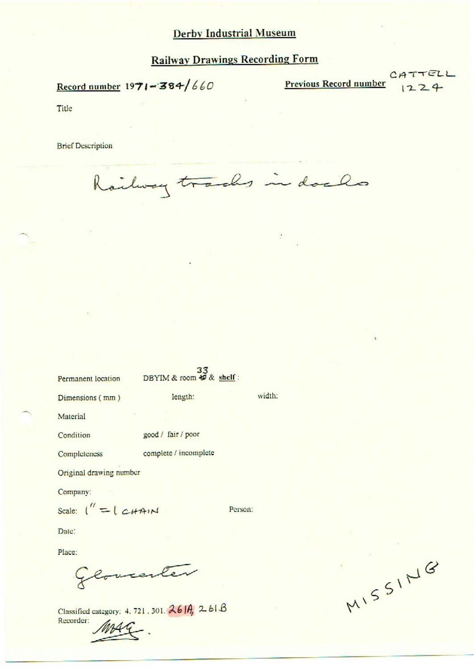# Railway Drawings Recording Form

 $Record number 1971 - 384/660$ 

Previous Record number  $\begin{array}{c} |224 \end{array}$ 

 $CATTELL$ 

Title

**Brief Description** 

Railway tracks in dacks

| Permanent location | DBYIM & room $\frac{33}{6}$ shelf: |        |
|--------------------|------------------------------------|--------|
| Dimensions (mm)    | length:                            | width: |
| Material           |                                    |        |
| Condition          | good / fair / poor                 |        |
| Completeness       | complete / incomplete              |        |

Original drawing number

Company:

Seal: 1" = ( u+~r+»< Pusan

Date:

Place:

Glovester

Classified category: 4. 721. 301.  $26$  |A, 2. 61 B Recorder:

 $551^\circ$  $\overline{\phantom{0}}$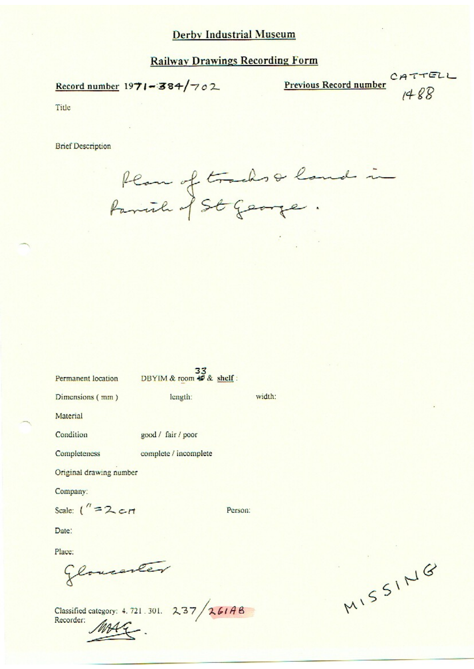# **Railway Drawings Recording Form**

Record number  $1971 - 384/702$ 

Previous Record number CATTELL

 $1488$ 

Title

**Brief Description** 

Plan of tracks & land in

| Permanent location        | $\frac{33}{\text{DBYIM} \& \text{room} \& \& \text{ shelf}:}$ |         |
|---------------------------|---------------------------------------------------------------|---------|
| Dimensions (mm)           | length:                                                       | width:  |
| Material                  |                                                               |         |
| Condition                 | good / fair / poor                                            |         |
| Completeness              | complete / incomplete                                         |         |
| Original drawing number   |                                                               |         |
| Company:                  |                                                               |         |
| Scale: $\binom{n}{2}$ crt |                                                               | Person: |
| Date:                     |                                                               |         |
| Place:                    |                                                               |         |
| Glovesneer                |                                                               |         |

Classified category: 4.721.301. 237/261AB

MISSING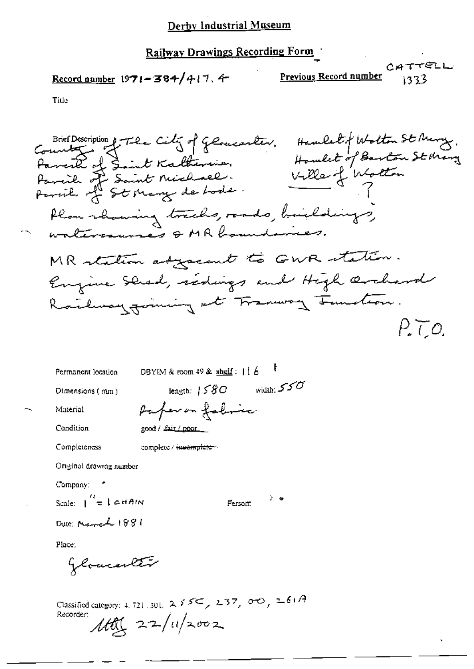$$
\underline{\text{Record number}} 1971 - 384 / 417.4
$$

Title

DBYIM & room  $49$  & shelf:  $116$ Permanent location length:  $1580$  width:  $550$ Dimensions (mm) Paper on folime Material Condition good / Lait / poor\_ Completeness complete / incomplete -Original drawing number Company: Scale:  $\int_{0}^{t}$  = 1 cHAIN े ७ Person: Date: March 1881 Place:

Glomenter

Classified category: 4, 721, 301,  $255\leq$ ,  $237$ ,  $00$ ,  $261A$ Recorder:  $1601/22/11/2002$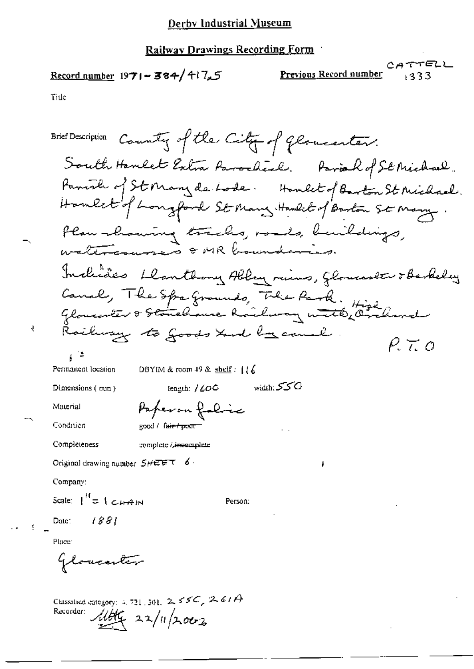#### **Railway Drawings Recording Form**

## <u>Record number</u>  $1971 - 384/417.5$

Recorder: 116kg 22/11/2002

CATTELL Previous Record number  $133$ 

Title

ą

Brief Description County of the City of Glomenter. South Hambet Extra Parocheal. Pariah of St Michael. Panish of St Mary de Lode. Howlet of Barton St Michael. Homelet's hongford St Many Handel of Barton St Many. Plan-chaming tracks, roads, buildings, Includes Danthony Abbey rims, Glomaster & Berkeley Canal, The Spa Grounds, The Park. High<br>Gloucenter & Stonelaure Roulway with Orchard Railway to Goods tand became  $P\tau$ Permanent location DBYIM & room 49 & shelf:  $116$ width: SSO tength: /  $\mathcal{L}OO$ Dimensions (mm) Paperon folic Material Condition good / fair + pour Completeness complete / immomplete Original drawing number  $S H \to \pi^-$  6. Company: Scale:  $\int_{0}^{H}$  = 1  $\epsilon$  +  $\epsilon$  +  $\gamma$  +  $\gamma$ Person: 1881 Date: Place: Gloricanter Classified category: 4, 721, 301,  $2.55C$ ,  $2.61A$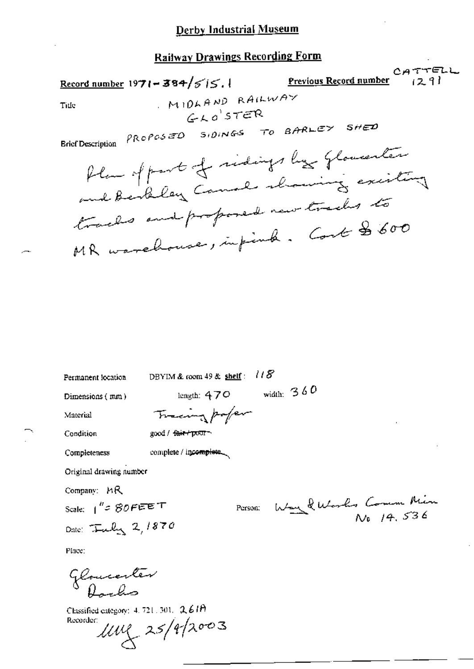CATTELL Record number  $1971 - 384/515.1$ Previous Record number  $(29)$ MIDLAND RAILWAY Title  $GKO'STER$ PROPOSED SIDINGS TO BARLEY SHED **Brief Description** Plan of part of sidings by Glowenter and bendley Canal showing existing tracks and proposed new tracks to MR warehouse, infinite. Could \$600

| Dimensions (mm)                    | length: $470$                   | width: $360$         |
|------------------------------------|---------------------------------|----------------------|
| Material                           | Tracing poper                   |                      |
| Condition                          | good / <del>fair / po</del> or∼ |                      |
| Completeness                       | complete / incomplete           |                      |
| Original drawing number            |                                 |                      |
| Company: MR                        |                                 |                      |
| Scale: $1^{n}$ = 80 FEET           | Person:                         | Way & Works Comm Min |
| Date: $\tau_{\text{mely}}$ 2, 1870 |                                 |                      |
| Place:                             |                                 |                      |
| Gloucenter                         |                                 |                      |

DBYIM & room 49 & shelf:  $118$ 

Classified category: 4, 721, 301, 2, 61H Recorder:

 $100 \times 25/9/2003$ 

Permanent location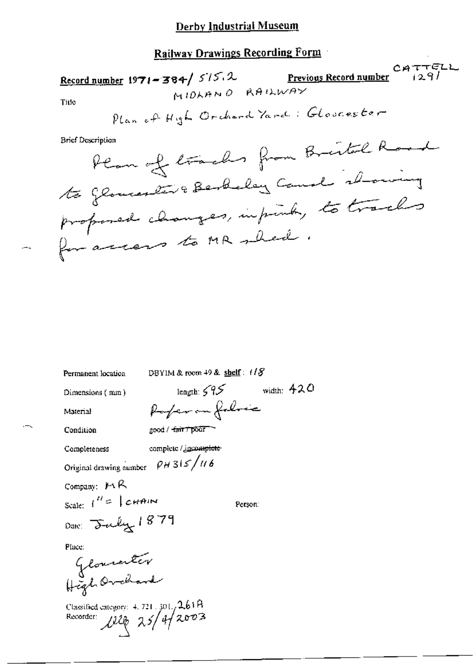Recnrd number 1971- 3\3+/ 575- 9- \% |1°I/ CAT-FELL. <sup>M</sup> |0;~n~ 0 K9 IL!/\/HY Tme WK." @— HQL 0FJ\l-v-(L \*/M4 . @L¢\\Z(l85;¢19V\_' BcfDw k,\_4L Pw7¢,.,\_¢»L,QwW1,~»,-~'f~3~'£~/ '°7:'i7;'L A\_ €v\_,a/L48/\_//:;1»1R4J1~/4@' 

Permanent location DBYIM & room 49 & shelf:  $1/8'$ 

Dimensions (mm) length:  $\frac{795}{}$  width: 420

Material Parfer on follows

"

Condition good / 4 $\pi$ r 1:  $\pi$  7:  $\pi$ 

Completeness complete / *incomplete* 

Original drawing number  $\rho$  H 31  $/$  11 6

Company:  $M R$ 

 $n_{\pm}$ Scale:  $I^{(l)} \in \int c H \hat{H} dM$  Person

Dam: July 1879

Place:

L53/L  $V = 1$  c  $V = 18$ <br>c  $S = 18$ <br>c  $V = 18$ @1.J».A/

Classified category:  $4.721 \cdot 301$ ,  $2.61R$ <br>Recorder:  $\sqrt{220}$   $2.5/4/2003$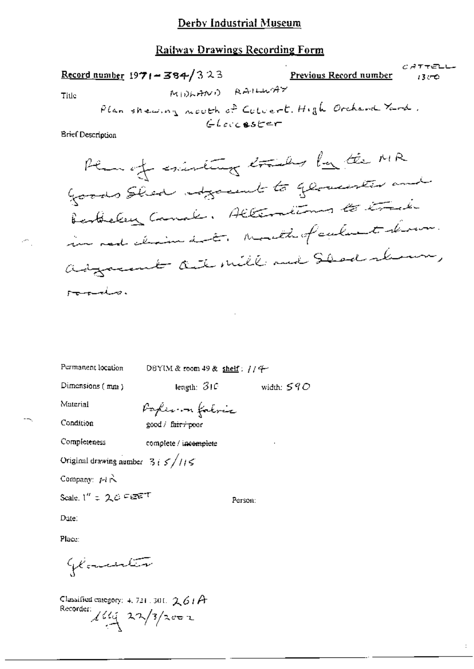### Railway Drawings Recording Form

|                          |                                                   |                 |                             | じゅててピレヒー |
|--------------------------|---------------------------------------------------|-----------------|-----------------------------|----------|
|                          | $Record number 1971 - 384/323$                    |                 | Previous Record number 1300 |          |
| Title:                   |                                                   | MIDLAND RAILWAY |                             |          |
|                          | Plan shewing nouth of Colvert. High Orchard Yard. |                 |                             |          |
|                          |                                                   | Glaccester      |                             |          |
| <b>Brief Description</b> |                                                   |                 |                             |          |
|                          |                                                   |                 |                             |          |
|                          | then of existing trades by the MR                 |                 |                             |          |
|                          | Goods Shed adjoint to glowerter and               |                 |                             |          |
|                          | Bertheley Canal: Alternations to track            |                 |                             |          |
|                          | in nod claim dat, mouth of culment drawn.         |                 |                             |          |
|                          | adgreent aut mill and Sleed shown,                |                 |                             |          |

وصيفت ينتهب

€.

Permanent location

DBYIM & room 49 & shelf: // 4

Dimensions (mm)

length:  $310$  width:  $590$ 

Material

Condition

Poplemon fatric good / fair / poor

Completeness

complete / incomplete

Original drawing number  $-3i \leq \sqrt{11} \leq$ 

Company: MR

Scale,  $1'' = 2.0$  Feem

Person:

Date:

Place:

Glancenter

Classified category: 4, 721, 301,  $261A$ Recorder:  $\frac{1}{4}$   $\frac{1}{4}$   $\frac{1}{4}$   $\frac{1}{4}$   $\frac{1}{4}$   $\frac{1}{4}$ 

 $\colon$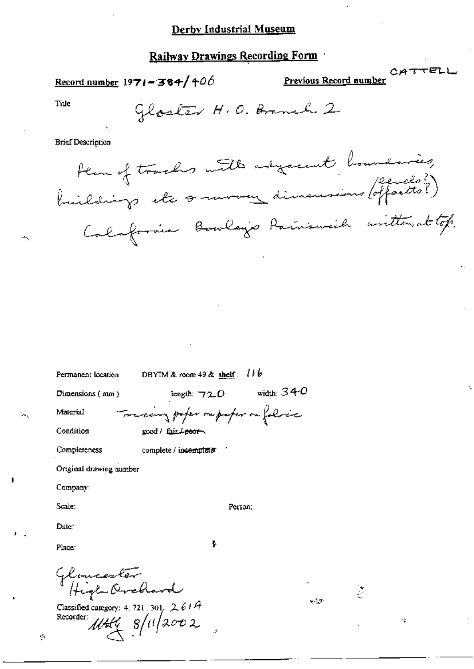Record number  $1971 - 384/106$ 

 $\begin{array}{c}\n\text{C}\n\\
\text{A}\n\\ \n\\ \text{Previous Record number}\n\end{array}$ 

Title

Gloster H.O. Brench 2

**Brief Description** 

Hem of tracks with adjacent boundaries,<br>buildings etc or arrow dimensions (offsets?) Calafornia Bowleys Painsweich written at top.

| Permanent location          | DBYIM & room $49$ & shelf: $110$     |  |
|-----------------------------|--------------------------------------|--|
| Dimensions $(mn)$           | width: $340$<br>length: $720$        |  |
| Material                    | Fredering paper ou paper on followic |  |
| Condition                   | good / fair <del>/poor</del>         |  |
| Completeness                | complete / incomplete                |  |
| Original drawing number     |                                      |  |
| Company:                    |                                      |  |
| Scale:                      | Person:                              |  |
| Date:                       |                                      |  |
| Place:                      | ł                                    |  |
| Gloucester<br>High-Orrehard |                                      |  |

Classified category: 4, 721, 301,  $2.614$ Recorder:  $1144 \frac{8}{11}2002$ 

J.

Ý,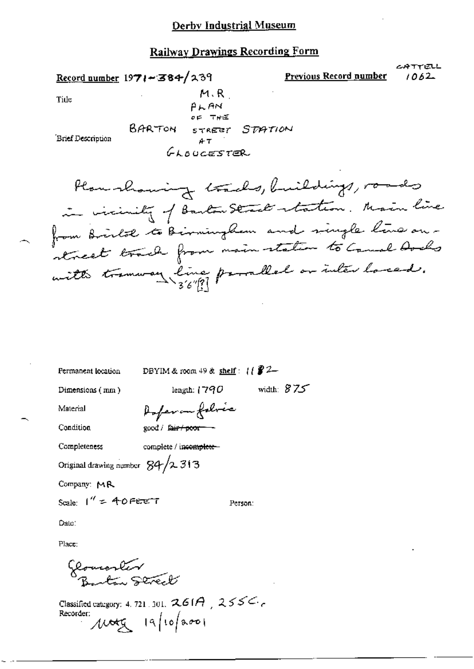ムゆすでほしし

1062

Record number 1971-384/239 Previous Record number  $M.R$ Title  $P<sub>AA</sub>$ BARTON STREET STATION Brief Description  $AT$ GLOUGESTER

DBYIM & room  $49$  & shelf:  $11$   $22-$ Permanent location length:  $1790$  width:  $875$ Dimensions (mm) Anferan folice Material Condition good / fair / poor-Completeness complete / incomplete-Original drawing number  $84/2313$ Company: MR Scale:  $1'' = 40$  Peter T Person: Date:

Place:

flourenter<br>Buston Derect

Classified category: 4, 721, 301,  $261A$ ,  $255C$ Recorder: Moty 19/10/2001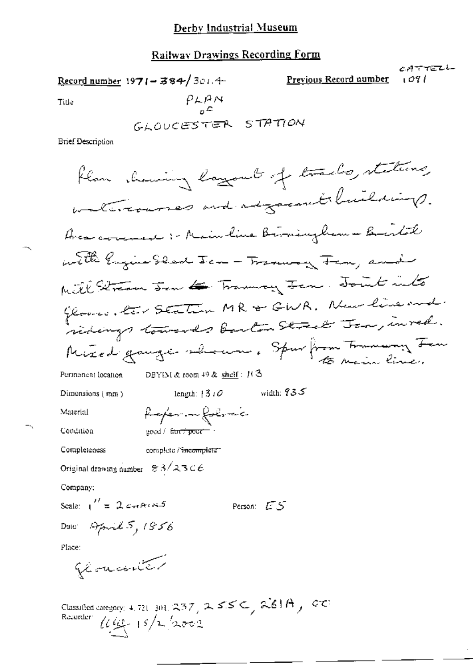#### Railway Drawings Recording Form

CATTELL Previous Record number Record number 1971-384/3014 ا ۵۹ ت  $P<sub>L</sub>P<sub>M</sub>$ Title GLOUCESTER STATION **Brief Description** flan showing layout of tracks, stations, watercourses and adjacement buildings. Avec covered :- Mainline Birmingham - Bristol with ligens black Jan - Tranning Fan, and Mill Stream Jan & Tranning Jan. Joint into Gloves, les Station MR & GWR. New line and Mixed gauge shown, Spurform Transmy For DBYIM & room  $49$  & shelf:  $113$ Permanent location width:  $935$ length:  $1310$ Dimensions (mm) finfer in followic Material Condition  $\gcd/\ \mathsf{f}\!\mathsf{inf}\!\!\neq\!\!\mathsf{port}=\mathsf{f}$ Completeness complete / <del>incom</del>plete\*\* Original drawing number  $83/2306$ Company: Scale:  $\int_0^U = 2 \cos \theta \cos \theta$ Person: ES Date April 5, 1856 Place: glancenter

Classified category: 4, 721, 301, 237, 255  $\subset$ , 261A, 27 Recorder  $\mu_{\mathcal{L}_1}$  15/2/2002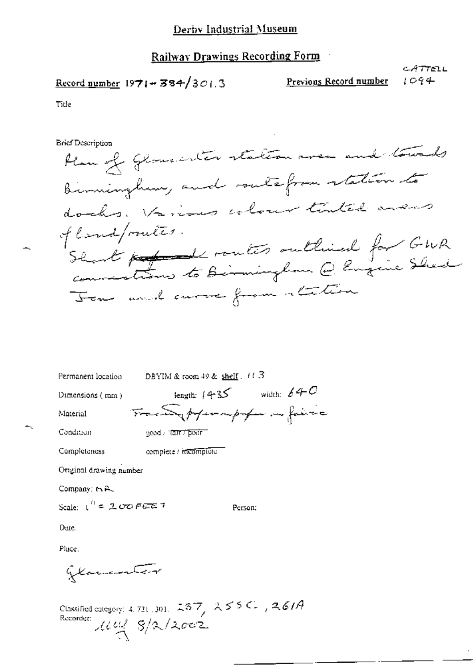$$
\underline{\text{Record number}} 1971 - 384/301.3
$$

Previous Record number

CATTELL 1094

Title

**Brief Description** 

Plan of Glancenter station area and towards Bimingham, and southfrom station to docks. Various elever tinted avers of land/routes. Showt professionalités outlined for GWR Tom and curve from attac

|                            | Permanent location DBYIM & room 49 & shelf $(11.3)$ |                                  |
|----------------------------|-----------------------------------------------------|----------------------------------|
| Dimensions $(mn)$          |                                                     | length: $4 + 35$ width: $64 + C$ |
| Material                   |                                                     | Tracanghtermpton in faire        |
| Condition                  | geed that from                                      |                                  |
| Completeness               | complete / incomplete                               |                                  |
| Original drawing number    |                                                     |                                  |
| Company: 15 R.             |                                                     |                                  |
| Scale: $1^{4}$ = 200 FEE 7 |                                                     | Person:                          |
| Date.                      |                                                     |                                  |
| Place.                     |                                                     |                                  |

Glamanter

Classified category: 4, 721, 301, 237, 255C, 261A<br>Recorder:  $\mathcal{U}\mathcal{U}^2$   $\mathcal{S}/2$  /2602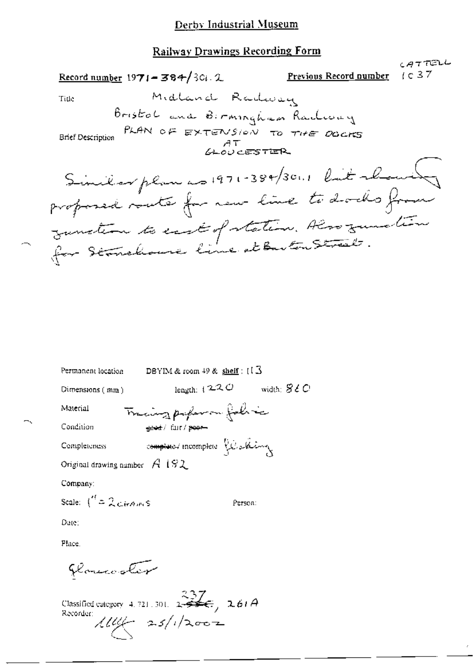| Record number 1971 - 384/301.2                   | Previous Record number | $CAT$ TELL<br>1037 |
|--------------------------------------------------|------------------------|--------------------|
| Midland Radiosay<br>Title                        |                        |                    |
| Bristol and Birmingham Radway                    |                        |                    |
| Brief Description PLAN OF EXTENSION TO THE DOCKS |                        |                    |
|                                                  |                        |                    |
| Similar plan as 1971-384/3011 like about         |                        |                    |
| proposed voute for new line to docks from        |                        |                    |
| gunstem to east of station. Also gunstin         |                        |                    |
| for Stanchouse line at ButonStreet.              |                        |                    |
|                                                  |                        |                    |

| Permanent location                   | DBYIM & room $49$ & shelf: $(1.5$           |                        |
|--------------------------------------|---------------------------------------------|------------------------|
| Dimensions $(mm)$                    | length: $\{2,2, C\}$                        | width: $\mathcal{SLO}$ |
| Material                             | Tracing paper on fals is                    |                        |
| Condition                            | <del>कुछते</del> / विir / <del>poor -</del> |                        |
| Completeness                         | completed incomplete Resolution             |                        |
| Original drawing number $A$ 1 $92$   |                                             |                        |
| Company:                             |                                             |                        |
| Scale: $\int_0^t = 2c\pi A \sqrt{s}$ | Person:                                     |                        |
| Date:                                |                                             |                        |

Place.

florecoler

Classified category 4.721.301.  $2\frac{337}{256}$ , 261A<br>Recorder:  $\pi$  /1/2002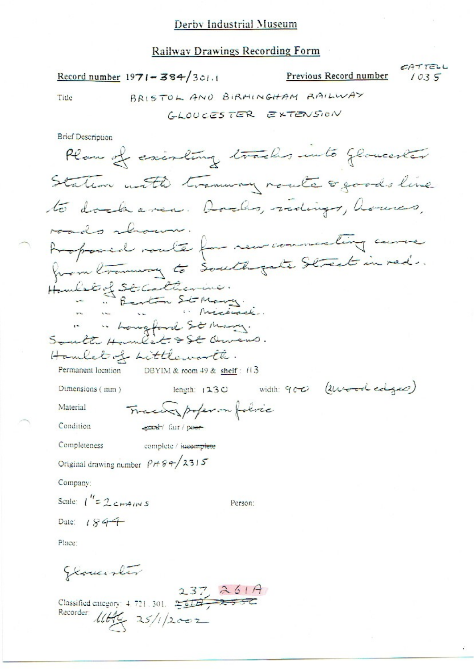#### **Railway Drawings Recording Form**

Record number 1971-384/301.1

CATTELL

 $1035$ 

Previous Record number

BRISTOL AND BIRMINGHAM RAILWAY Title GLOUCESTER EXTENSION **Brief Description** Plan of existing tracks unto Gloventer Station with transvery route o goods line to dock area. Docho, redige, houses, roads rhouse. Apposed mate for new commercing came from transvary to South gate Street in red. Hombridge Sticalterine.<br>"Benton Stomary.<br>" "houghout Stomary.<br>South Humber & St Queens. Hamlet of Littleworth. Permanent location DBYIM & room 49 & shelf: 113 length:  $1230$  width:  $900$  (lunder edges) Dimensions (mm) Tracer poper on folice Material Condition each' fair / poor Completeness complete / jucomplete Original drawing number  $PH + 8 + 2315$ Company: Scale:  $\int_{0}^{t} = 2c_{H4}a_{IN5}$ Person: Date:  $184 +$ Place: Gloventer

Classified category: 4.721.301.  $237$  261A Recorder: 11Hg 25/1/2002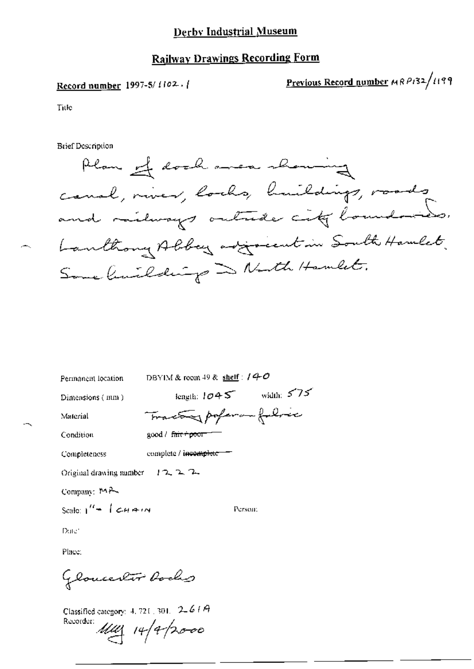## **Railway Drawings Recording Form**

#### Record number 1997-5/1102.

Previous Record number MRP132/1199

Title

**Brief Description** 

Plan of dock area showing cause, niver, looks, huildings, roads and milways outside city boundaries. Lanthony Albey adjoint in South Hanlet Some limilatings and North Hamlet.

DBYIM & room 49 & shelf :  $/4$ -O Permanent location

Dimensions (mm)

length:  $1045$  width:  $575$ 

Person:

Tractor poperan folice

Material

Condition

complete / incomplete Completeness

good / fair+poor-1

Original drawing number  $12.2.2$ 

Company: 14P

Scale:  $1'' + 1$  chain

Date:

Place:

GlouceKir Body

Classified category:  $4, 721, 301, -2, 64A$ 

Recorder: 1111 14/4/2000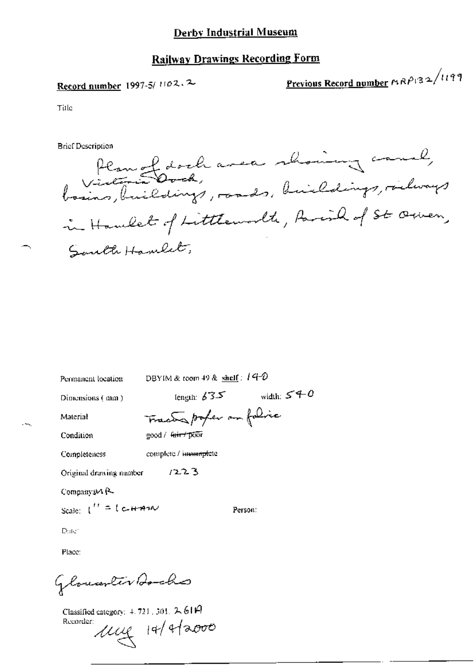## **Railway Drawings Recording Form**

## Record number 1997-5/1102.2

Previous Record number MRP132/1199

Title

**Brief Description** 

Plan of dock avea showing cause, basins, buildings, rands, buildings, richways in Haulet of Littlemorth, Parish of St. Orien, Saulte Hamlet,

Permanent location

DBYIM & room 49 & shelf:  $14-0$ 

Dimensions (mm)

length:  $635$  width:  $540$ 

Person:

Material Condition Tracted poper on folice good / fair / poor

complete / incomplete Completeness

 $1223$ Original drawing number

Company 24 R

Scale:  $1'' = 1$  c-H-AM

Date:

Place:

Glouanter Bocho

Classified category:  $4.721$ , 301,  $2.61$ A Recorder:

ung 14/4/2000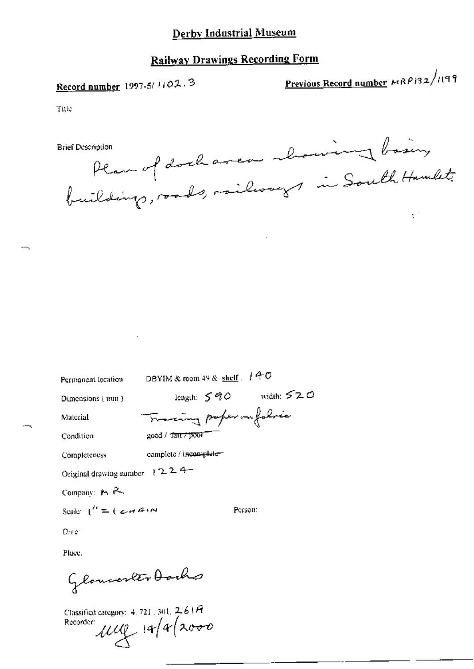# Railway Drawings Recording Form

# Record number  $1997-5/1102.3$

Previous Record number MRP132/1199

Title

haven about bosing Brief Description Plan of doc in South Hamillo. building, roads, railway  $\tilde{\gamma}^{(0)}$ 

Permanent location DBYIM & room 49 & shelf  $\pm$  40

Dimensions (wm)  $\qquad \qquad$  length:  $\leq 90 \qquad$  width:  $\leq 20$ Material Transing proper on folice

Condition  $\cos \theta / \tan \theta$  poor

Completeness complete / incomplete-

Original drawing number 1 2 2 4-

Company:  $M \sim$ 

Scale:  $I^{\prime\prime} = 1$  and  $A^{\prime\prime}$  are not person:

Du:

Plum:<br>Glomoorler Dorho

Cl{|S£|l7£L\c.1l4:g0r\ <sup>4</sup> <sup>121</sup> am LAM Rccerdcr /4% Mfk Kkmro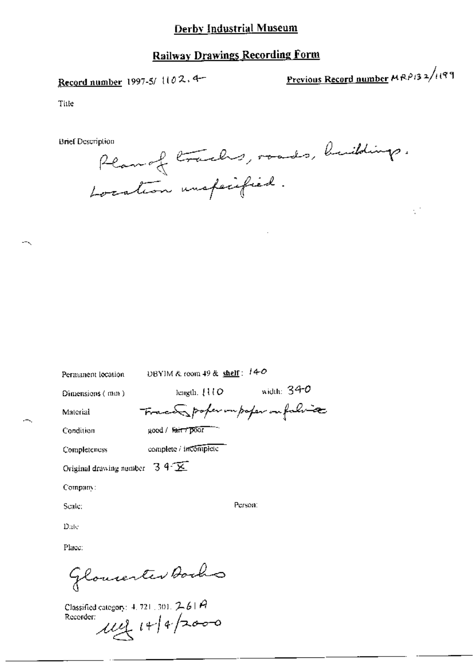Record number 1997-5/1102.4-

Previous Record number  $MRP/3$  2/1199

ζŤ

Title

**Brief Description** 

Plan of tracks, roads, buildings. Location unspecified.

Permanent location

DBYIM & room 49 & shelf:  $140$ 

Dimensions (mm)

length,  $110$  width:  $340$ France poper impoper in falsice

Condition

Completeness

Material

÷.

complete / incomplete

good / fair r poor

Original drawing number  $-3.4 \times$ 

Company:

Scale:

Person:

Date Place:

Glouienter Bocho

Classified category: 4, 721, 301,  $261A$ Recorder: 114 14/4/2000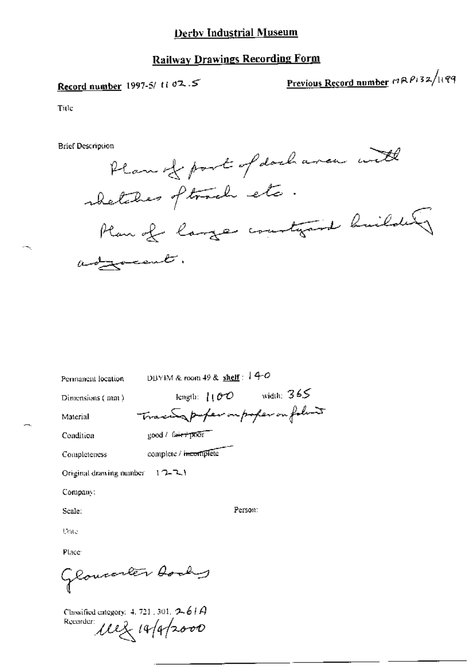## **Railway Drawings Recording Form**

# Record number 1997-5/ ti 02.5

Previous Record number 19RP132/1199

Title

**Brief Description** 

Plan of part of dark area with shetches oftward etc. Plan of large countyand builder asyment.

Permanent location DBYIM & room 49 & shelf :  $14-0$ 

Dimensions (mm)

Material Condition Trace profer in profer on follow good / fairy prior complete / incomplete

Completeness

Original drawing number  $(17-7)$ 

Company:

Scale:

Person:

length:  $100$  width:  $365$ 

Date

Place

Glowearter Aochy

Classified category: 4, 721, 301,  $2-61A$ Recorder: 112 14/4/2000